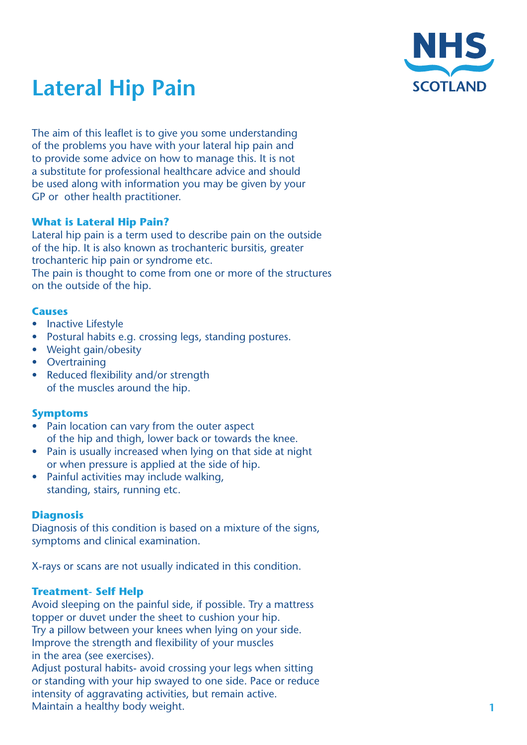

# **Lateral Hip Pain**

The aim of this leaflet is to give you some understanding of the problems you have with your lateral hip pain and to provide some advice on how to manage this. It is not a substitute for professional healthcare advice and should be used along with information you may be given by your GP or other health practitioner.

# **What is Lateral Hip Pain?**

Lateral hip pain is a term used to describe pain on the outside of the hip. It is also known as trochanteric bursitis, greater trochanteric hip pain or syndrome etc. The pain is thought to come from one or more of the structures on the outside of the hip.

# **Causes**

- Inactive Lifestyle
- Postural habits e.g. crossing legs, standing postures.
- Weight gain/obesity
- Overtraining
- Reduced flexibility and/or strength of the muscles around the hip.

# **Symptoms**

- Pain location can vary from the outer aspect of the hip and thigh, lower back or towards the knee.
- Pain is usually increased when lying on that side at night or when pressure is applied at the side of hip.
- Painful activities may include walking, standing, stairs, running etc.

# **Diagnosis**

Diagnosis of this condition is based on a mixture of the signs, symptoms and clinical examination.

X-rays or scans are not usually indicated in this condition.

# **Treatment- Self Help**

Avoid sleeping on the painful side, if possible. Try a mattress topper or duvet under the sheet to cushion your hip. Try a pillow between your knees when lying on your side. Improve the strength and flexibility of your muscles in the area (see exercises).

Adjust postural habits- avoid crossing your legs when sitting or standing with your hip swayed to one side. Pace or reduce intensity of aggravating activities, but remain active. Maintain a healthy body weight.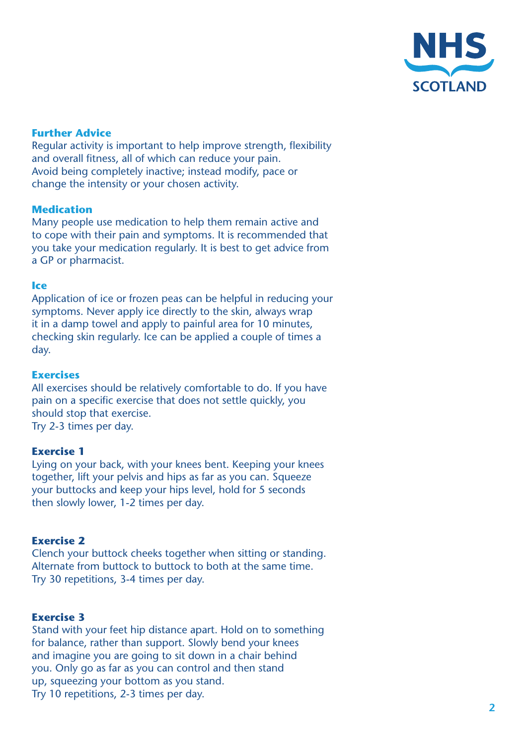

# **Further Advice**

Regular activity is important to help improve strength, flexibility and overall fitness, all of which can reduce your pain. Avoid being completely inactive; instead modify, pace or change the intensity or your chosen activity.

# **Medication**

Many people use medication to help them remain active and to cope with their pain and symptoms. It is recommended that you take your medication regularly. It is best to get advice from a GP or pharmacist.

#### **Ice**

Application of ice or frozen peas can be helpful in reducing your symptoms. Never apply ice directly to the skin, always wrap it in a damp towel and apply to painful area for 10 minutes, checking skin regularly. Ice can be applied a couple of times a day.

#### **Exercises**

All exercises should be relatively comfortable to do. If you have pain on a specific exercise that does not settle quickly, you should stop that exercise. Try 2-3 times per day.

#### **Exercise 1**

Lying on your back, with your knees bent. Keeping your knees together, lift your pelvis and hips as far as you can. Squeeze your buttocks and keep your hips level, hold for 5 seconds then slowly lower, 1-2 times per day.

# **Exercise 2**

Clench your buttock cheeks together when sitting or standing. Alternate from buttock to buttock to both at the same time. Try 30 repetitions, 3-4 times per day.

# **Exercise 3**

Stand with your feet hip distance apart. Hold on to something for balance, rather than support. Slowly bend your knees and imagine you are going to sit down in a chair behind you. Only go as far as you can control and then stand up, squeezing your bottom as you stand. Try 10 repetitions, 2-3 times per day.